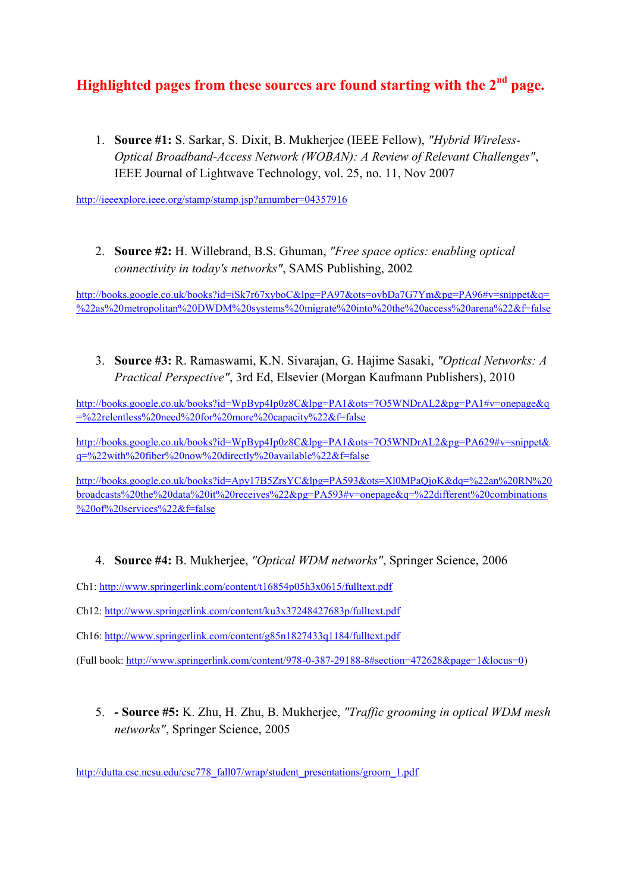#### **Highlighted pages from these sources are found starting with the 2nd page.**

1. **Source #1:** S. Sarkar, S. Dixit, B. Mukherjee (IEEE Fellow), *"Hybrid Wireless-Optical Broadband-Access Network (WOBAN): A Review of Relevant Challenges"*, IEEE Journal of Lightwave Technology, vol. 25, no. 11, Nov 2007

<http://ieeexplore.ieee.org/stamp/stamp.jsp?arnumber=04357916>

2. **Source #2:** H. Willebrand, B.S. Ghuman, *"Free space optics: enabling optical connectivity in today's networks"*, SAMS Publishing, 2002

[http://books.google.co.uk/books?id=iSk7r67xyboC&lpg=PA97&ots=ovbDa7G7Ym&pg=PA96#v=snippet&q=](http://books.google.co.uk/books?id=iSk7r67xyboC&lpg=PA97&ots=ovbDa7G7Ym&pg=PA96#v=snippet&q=%22as%20metropolitan%20DWDM%20systems%20migrate%20into%20the%20access%20arena%22&f=false) [%22as%20metropolitan%20DWDM%20systems%20migrate%20into%20the%20access%20arena%22&f=false](http://books.google.co.uk/books?id=iSk7r67xyboC&lpg=PA97&ots=ovbDa7G7Ym&pg=PA96#v=snippet&q=%22as%20metropolitan%20DWDM%20systems%20migrate%20into%20the%20access%20arena%22&f=false)

3. **Source #3:** R. Ramaswami, K.N. Sivarajan, G. Hajime Sasaki, *"Optical Networks: A Practical Perspective"*, 3rd Ed, Elsevier (Morgan Kaufmann Publishers), 2010

[http://books.google.co.uk/books?id=WpByp4Ip0z8C&lpg=PA1&ots=7O5WNDrAL2&pg=PA1#v=onepage&q](http://books.google.co.uk/books?id=WpByp4Ip0z8C&lpg=PA1&ots=7O5WNDrAL2&pg=PA1#v=onepage&q=%22relentless%20need%20for%20more%20capacity%22&f=false) [=%22relentless%20need%20for%20more%20capacity%22&f=false](http://books.google.co.uk/books?id=WpByp4Ip0z8C&lpg=PA1&ots=7O5WNDrAL2&pg=PA1#v=onepage&q=%22relentless%20need%20for%20more%20capacity%22&f=false)

[http://books.google.co.uk/books?id=WpByp4Ip0z8C&lpg=PA1&ots=7O5WNDrAL2&pg=PA629#v=snippet&](http://books.google.co.uk/books?id=WpByp4Ip0z8C&lpg=PA1&ots=7O5WNDrAL2&pg=PA629#v=snippet&q=%22with%20fiber%20now%20directly%20available%22&f=false) [q=%22with%20fiber%20now%20directly%20available%22&f=false](http://books.google.co.uk/books?id=WpByp4Ip0z8C&lpg=PA1&ots=7O5WNDrAL2&pg=PA629#v=snippet&q=%22with%20fiber%20now%20directly%20available%22&f=false)

[http://books.google.co.uk/books?id=Apy17B5ZrsYC&lpg=PA593&ots=Xl0MPaQjoK&dq=%22an%20RN%20](http://books.google.co.uk/books?id=Apy17B5ZrsYC&lpg=PA593&ots=Xl0MPaQjoK&dq=%22an%20RN%20broadcasts%20the%20data%20it%20receives%22&pg=PA593#v=onepage&q=%22different%20combinations%20of%20services%22&f=false) [broadcasts%20the%20data%20it%20receives%22&pg=PA593#v=onepage&q=%22different%20combinations](http://books.google.co.uk/books?id=Apy17B5ZrsYC&lpg=PA593&ots=Xl0MPaQjoK&dq=%22an%20RN%20broadcasts%20the%20data%20it%20receives%22&pg=PA593#v=onepage&q=%22different%20combinations%20of%20services%22&f=false) [%20of%20services%22&f=false](http://books.google.co.uk/books?id=Apy17B5ZrsYC&lpg=PA593&ots=Xl0MPaQjoK&dq=%22an%20RN%20broadcasts%20the%20data%20it%20receives%22&pg=PA593#v=onepage&q=%22different%20combinations%20of%20services%22&f=false)

#### 4. **Source #4:** B. Mukherjee, *"Optical WDM networks"*, Springer Science, 2006

Ch1:<http://www.springerlink.com/content/t16854p05h3x0615/fulltext.pdf>

- Ch12:<http://www.springerlink.com/content/ku3x37248427683p/fulltext.pdf>
- Ch16:<http://www.springerlink.com/content/g85n1827433q1184/fulltext.pdf>

(Full book: [http://www.springerlink.com/content/978-0-387-29188-8#section=472628&page=1&locus=0\)](http://www.springerlink.com/content/978-0-387-29188-8#section=472628&page=1&locus=0)

5. **- Source #5:** K. Zhu, H. Zhu, B. Mukherjee, *"Traffic grooming in optical WDM mesh networks"*, Springer Science, 2005

[http://dutta.csc.ncsu.edu/csc778\\_fall07/wrap/student\\_presentations/groom\\_1.pdf](http://dutta.csc.ncsu.edu/csc778_fall07/wrap/student_presentations/groom_1.pdf)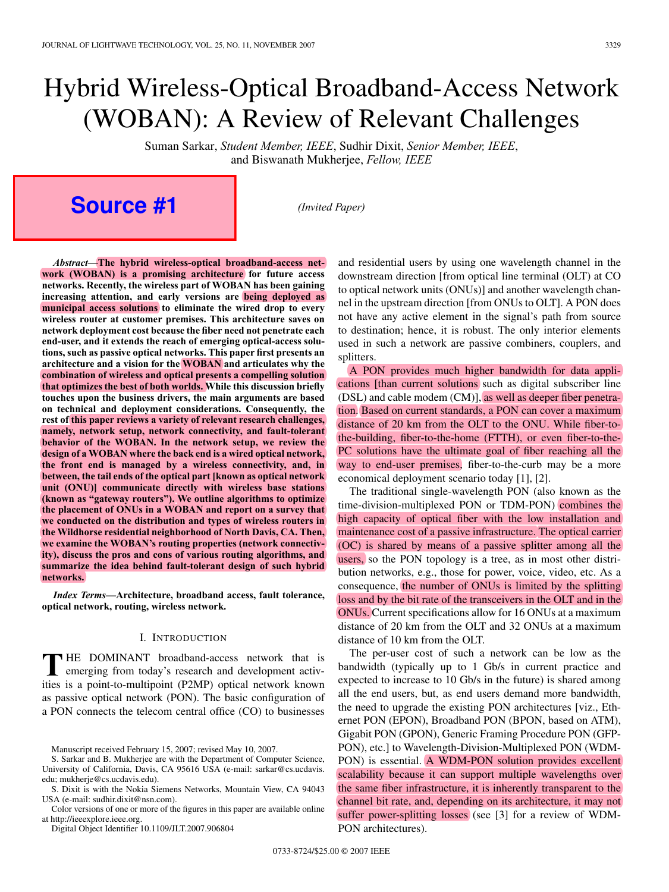# Hybrid Wireless-Optical Broadband-Access Network (WOBAN): A Review of Relevant Challenges

Suman Sarkar, *Student Member, IEEE*, Sudhir Dixit, *Senior Member, IEEE*, and Biswanath Mukherjee, *Fellow, IEEE*

# **Source #1**

٦

*(Invited Paper)*

*Abstract***—The hybrid wireless-optical broadband-access network (WOBAN) is a promising architecture for future access networks. Recently, the wireless part of WOBAN has been gaining increasing attention, and early versions are being deployed as municipal access solutions to eliminate the wired drop to every wireless router at customer premises. This architecture saves on network deployment cost because the fiber need not penetrate each end-user, and it extends the reach of emerging optical-access solutions, such as passive optical networks. This paper first presents an architecture and a vision for the WOBAN and articulates why the combination of wireless and optical presents a compelling solution that optimizes the best of both worlds. While this discussion briefly touches upon the business drivers, the main arguments are based on technical and deployment considerations. Consequently, the rest of this paper reviews a variety of relevant research challenges, namely, network setup, network connectivity, and fault-tolerant behavior of the WOBAN. In the network setup, we review the design of a WOBAN where the back end is a wired optical network, the front end is managed by a wireless connectivity, and, in between, the tail ends of the optical part [known as optical network unit (ONU)] communicate directly with wireless base stations (known as "gateway routers"). We outline algorithms to optimize the placement of ONUs in a WOBAN and report on a survey that we conducted on the distribution and types of wireless routers in the Wildhorse residential neighborhood of North Davis, CA. Then, we examine the WOBAN's routing properties (network connectivity), discuss the pros and cons of various routing algorithms, and summarize the idea behind fault-tolerant design of such hybrid networks.**

*Index Terms***—Architecture, broadband access, fault tolerance, optical network, routing, wireless network.**

#### I. INTRODUCTION

**T**HE DOMINANT broadband-access network that is emerging from today's research and development activities is a point-to-multipoint (P2MP) optical network known HE DOMINANT broadband-access network that is emerging from today's research and development activas passive optical network (PON). The basic configuration of a PON connects the telecom central office (CO) to businesses

Manuscript received February 15, 2007; revised May 10, 2007.

S. Sarkar and B. Mukherjee are with the Department of Computer Science, University of California, Davis, CA 95616 USA (e-mail: sarkar@cs.ucdavis. edu; mukherje@cs.ucdavis.edu).

S. Dixit is with the Nokia Siemens Networks, Mountain View, CA 94043 USA (e-mail: sudhir.dixit@nsn.com).

Color versions of one or more of the figures in this paper are available online at http://ieeexplore.ieee.org.

Digital Object Identifier 10.1109/JLT.2007.906804

and residential users by using one wavelength channel in the downstream direction [from optical line terminal (OLT) at CO to optical network units (ONUs)] and another wavelength channel in the upstream direction [from ONUs to OLT]. A PON does not have any active element in the signal's path from source to destination; hence, it is robust. The only interior elements used in such a network are passive combiners, couplers, and splitters.

A PON provides much higher bandwidth for data applications [than current solutions] such as digital subscriber line (DSL) and cable modem (CM)], as well as deeper fiber penetration. Based on current standards, a PON can cover a maximum distance of 20 km from the OLT to the ONU. While fiber-tothe-building, fiber-to-the-home (FTTH), or even fiber-to-the-PC solutions have the ultimate goal of fiber reaching all the way to end-user premises, fiber-to-the-curb may be a more economical deployment scenario today [1], [2].

The traditional single-wavelength PON (also known as the time-division-multiplexed PON or TDM-PON) combines the high capacity of optical fiber with the low installation and maintenance cost of a passive infrastructure. The optical carrier (OC) is shared by means of a passive splitter among all the users, so the PON topology is a tree, as in most other distribution networks, e.g., those for power, voice, video, etc. As a consequence, the number of ONUs is limited by the splitting loss and by the bit rate of the transceivers in the OLT and in the ONUs. Current specifications allow for 16 ONUs at a maximum distance of 20 km from the OLT and 32 ONUs at a maximum distance of 10 km from the OLT.

The per-user cost of such a network can be low as the bandwidth (typically up to 1 Gb/s in current practice and expected to increase to 10 Gb/s in the future) is shared among all the end users, but, as end users demand more bandwidth, the need to upgrade the existing PON architectures [viz., Ethernet PON (EPON), Broadband PON (BPON, based on ATM), Gigabit PON (GPON), Generic Framing Procedure PON (GFP-PON), etc.] to Wavelength-Division-Multiplexed PON (WDM-PON) is essential. A WDM-PON solution provides excellent scalability because it can support multiple wavelengths over the same fiber infrastructure, it is inherently transparent to the channel bit rate, and, depending on its architecture, it may not suffer power-splitting losses (see [3] for a review of WDM-PON architectures).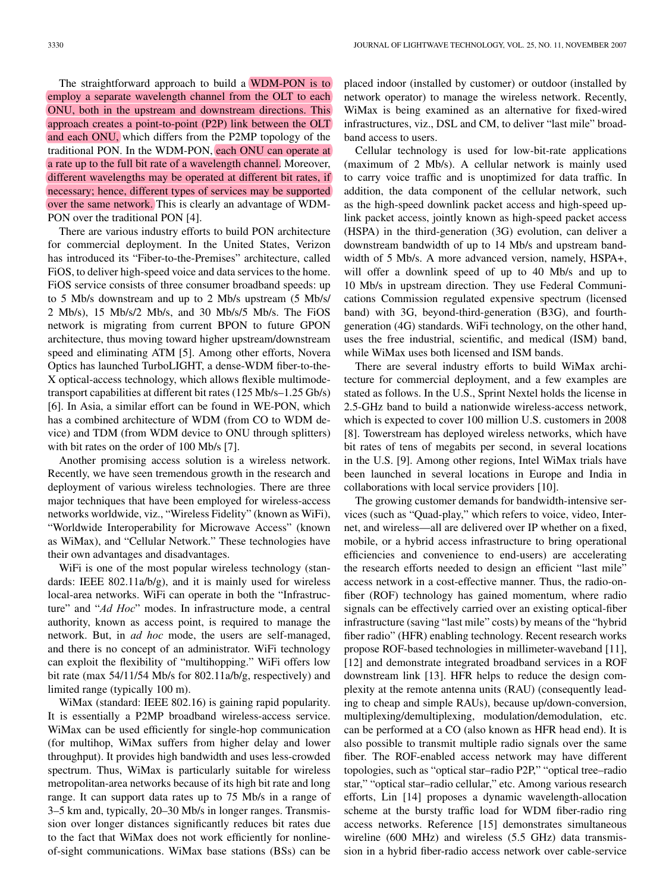The straightforward approach to build a WDM-PON is to employ a separate wavelength channel from the OLT to each ONU, both in the upstream and downstream directions. This approach creates a point-to-point (P2P) link between the OLT and each ONU, which differs from the P2MP topology of the traditional PON. In the WDM-PON, each ONU can operate at a rate up to the full bit rate of a wavelength channel. Moreover, different wavelengths may be operated at different bit rates, if necessary; hence, different types of services may be supported over the same network. This is clearly an advantage of WDM-PON over the traditional PON [4].

There are various industry efforts to build PON architecture for commercial deployment. In the United States, Verizon has introduced its "Fiber-to-the-Premises" architecture, called FiOS, to deliver high-speed voice and data services to the home. FiOS service consists of three consumer broadband speeds: up to 5 Mb/s downstream and up to 2 Mb/s upstream (5 Mb/s/ 2 Mb/s), 15 Mb/s/2 Mb/s, and 30 Mb/s/5 Mb/s. The FiOS network is migrating from current BPON to future GPON architecture, thus moving toward higher upstream/downstream speed and eliminating ATM [5]. Among other efforts, Novera Optics has launched TurboLIGHT, a dense-WDM fiber-to-the-X optical-access technology, which allows flexible multimodetransport capabilities at different bit rates (125 Mb/s–1.25 Gb/s) [6]. In Asia, a similar effort can be found in WE-PON, which has a combined architecture of WDM (from CO to WDM device) and TDM (from WDM device to ONU through splitters) with bit rates on the order of 100 Mb/s [7].

Another promising access solution is a wireless network. Recently, we have seen tremendous growth in the research and deployment of various wireless technologies. There are three major techniques that have been employed for wireless-access networks worldwide, viz., "Wireless Fidelity" (known as WiFi), "Worldwide Interoperability for Microwave Access" (known as WiMax), and "Cellular Network." These technologies have their own advantages and disadvantages.

WiFi is one of the most popular wireless technology (standards: IEEE 802.11a/b/g), and it is mainly used for wireless local-area networks. WiFi can operate in both the "Infrastructure" and "*Ad Hoc*" modes. In infrastructure mode, a central authority, known as access point, is required to manage the network. But, in *ad hoc* mode, the users are self-managed, and there is no concept of an administrator. WiFi technology can exploit the flexibility of "multihopping." WiFi offers low bit rate (max 54/11/54 Mb/s for 802.11a/b/g, respectively) and limited range (typically 100 m).

WiMax (standard: IEEE 802.16) is gaining rapid popularity. It is essentially a P2MP broadband wireless-access service. WiMax can be used efficiently for single-hop communication (for multihop, WiMax suffers from higher delay and lower throughput). It provides high bandwidth and uses less-crowded spectrum. Thus, WiMax is particularly suitable for wireless metropolitan-area networks because of its high bit rate and long range. It can support data rates up to 75 Mb/s in a range of 3–5 km and, typically, 20–30 Mb/s in longer ranges. Transmission over longer distances significantly reduces bit rates due to the fact that WiMax does not work efficiently for nonlineof-sight communications. WiMax base stations (BSs) can be

placed indoor (installed by customer) or outdoor (installed by network operator) to manage the wireless network. Recently, WiMax is being examined as an alternative for fixed-wired infrastructures, viz., DSL and CM, to deliver "last mile" broadband access to users.

Cellular technology is used for low-bit-rate applications (maximum of 2 Mb/s). A cellular network is mainly used to carry voice traffic and is unoptimized for data traffic. In addition, the data component of the cellular network, such as the high-speed downlink packet access and high-speed uplink packet access, jointly known as high-speed packet access (HSPA) in the third-generation (3G) evolution, can deliver a downstream bandwidth of up to 14 Mb/s and upstream bandwidth of 5 Mb/s. A more advanced version, namely, HSPA+, will offer a downlink speed of up to 40 Mb/s and up to 10 Mb/s in upstream direction. They use Federal Communications Commission regulated expensive spectrum (licensed band) with 3G, beyond-third-generation (B3G), and fourthgeneration (4G) standards. WiFi technology, on the other hand, uses the free industrial, scientific, and medical (ISM) band, while WiMax uses both licensed and ISM bands.

There are several industry efforts to build WiMax architecture for commercial deployment, and a few examples are stated as follows. In the U.S., Sprint Nextel holds the license in 2.5-GHz band to build a nationwide wireless-access network, which is expected to cover 100 million U.S. customers in 2008 [8]. Towerstream has deployed wireless networks, which have bit rates of tens of megabits per second, in several locations in the U.S. [9]. Among other regions, Intel WiMax trials have been launched in several locations in Europe and India in collaborations with local service providers [10].

The growing customer demands for bandwidth-intensive services (such as "Quad-play," which refers to voice, video, Internet, and wireless—all are delivered over IP whether on a fixed, mobile, or a hybrid access infrastructure to bring operational efficiencies and convenience to end-users) are accelerating the research efforts needed to design an efficient "last mile" access network in a cost-effective manner. Thus, the radio-onfiber (ROF) technology has gained momentum, where radio signals can be effectively carried over an existing optical-fiber infrastructure (saving "last mile" costs) by means of the "hybrid fiber radio" (HFR) enabling technology. Recent research works propose ROF-based technologies in millimeter-waveband [11], [12] and demonstrate integrated broadband services in a ROF downstream link [13]. HFR helps to reduce the design complexity at the remote antenna units (RAU) (consequently leading to cheap and simple RAUs), because up/down-conversion, multiplexing/demultiplexing, modulation/demodulation, etc. can be performed at a CO (also known as HFR head end). It is also possible to transmit multiple radio signals over the same fiber. The ROF-enabled access network may have different topologies, such as "optical star–radio P2P," "optical tree–radio star," "optical star–radio cellular," etc. Among various research efforts, Lin [14] proposes a dynamic wavelength-allocation scheme at the bursty traffic load for WDM fiber-radio ring access networks. Reference [15] demonstrates simultaneous wireline (600 MHz) and wireless (5.5 GHz) data transmission in a hybrid fiber-radio access network over cable-service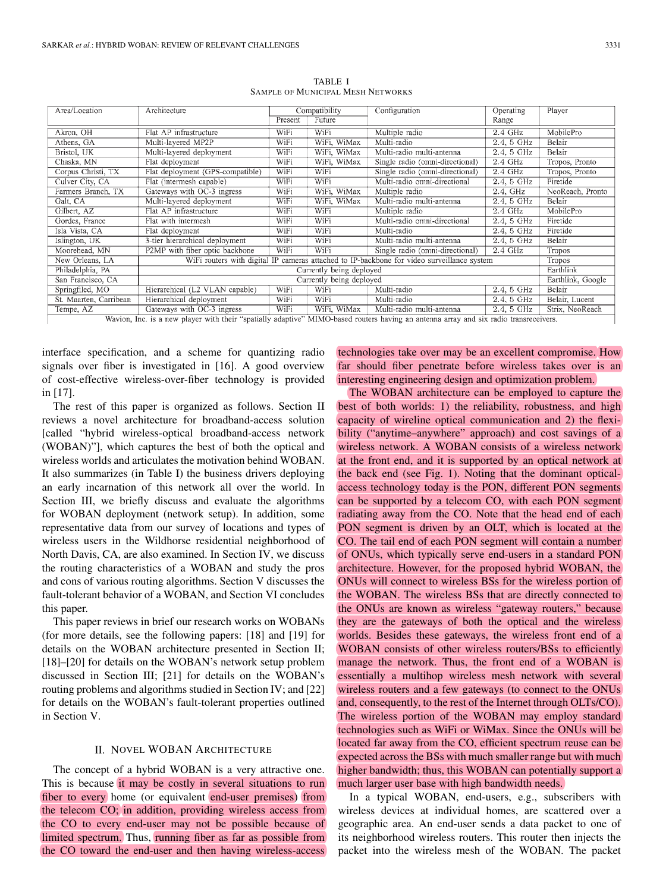| Area/Location          | Architecture                                                                                                                        |         | Compatibility | Configuration                   | Operating  | Player            |
|------------------------|-------------------------------------------------------------------------------------------------------------------------------------|---------|---------------|---------------------------------|------------|-------------------|
|                        |                                                                                                                                     | Present | Future        |                                 | Range      |                   |
| Akron, OH              | Flat AP infrastructure                                                                                                              | WiFi    | WiFi          | Multiple radio                  | $2.4$ GHz  | MobilePro         |
| Athens, GA             | Multi-lavered MP2P                                                                                                                  | WiFi    | WiFi, WiMax   | Multi-radio                     | 2.4, 5 GHz | Belair            |
| Bristol, UK            | Multi-layered deployment                                                                                                            | WiFi    | WiFi, WiMax   | Multi-radio multi-antenna       | 2.4, 5 GHz | Belair            |
| Chaska, MN             | Flat deployment                                                                                                                     | WiFi    | WiFi, WiMax   | Single radio (omni-directional) | $2.4$ GHz  | Tropos, Pronto    |
| Corpus Christi, TX     | Flat deployment (GPS-compatible)                                                                                                    | WiFi    | WiFi          | Single radio (omni-directional) | 2.4 GHz    | Tropos, Pronto    |
| Culver City, CA        | Flat (intermesh capable)                                                                                                            | WiFi    | WiFi          | Multi-radio omni-directional    | 2.4.5 GHz  | Firetide          |
| Farmers Branch, TX     | Gateways with OC-3 ingress                                                                                                          | WiFi    | WiFi, WiMax   | Multiple radio                  | 2.4, GHz   | NeoReach, Pronto  |
| Galt, CA               | Multi-layered deployment                                                                                                            | WiFi    | WiFi, WiMax   | Multi-radio multi-antenna       | 2.4, 5 GHz | Belair            |
| Gilbert, AZ            | Flat AP infrastructure                                                                                                              | WiFi    | WiFi          | Multiple radio                  | $2.4$ GHz  | MobilePro         |
| Gordes, France         | Flat with intermesh                                                                                                                 | WiFi    | WiFi          | Multi-radio omni-directional    | 2.4, 5 GHz | Firetide          |
| Isla Vista, CA         | Flat deployment                                                                                                                     | WiFi    | WiFi          | Multi-radio                     | 2.4, 5 GHz | Firetide          |
| Islington, UK          | 3-tier hierarchical deployment                                                                                                      | WiFi    | WiFi          | Multi-radio multi-antenna       | 2.4, 5 GHz | Belair            |
| Moorehead, MN          | P2MP with fiber optic backbone                                                                                                      | WiFi    | WiFi          | Single radio (omni-directional) | 2.4 GHz    | Tropos            |
| New Orleans, LA        | WiFi routers with digital IP cameras attached to IP-backbone for video surveillance system<br>Tropos                                |         |               |                                 |            |                   |
| Philadelphia, PA       | Currently being deployed                                                                                                            |         |               |                                 |            | Earthlink         |
| San Francisco, CA      | Currently being deployed                                                                                                            |         |               |                                 |            | Earthlink, Google |
| Springfiled, MO        | Hierarchical (L2 VLAN capable)                                                                                                      | WiFi    | WiFi          | Multi-radio                     | 2.4, 5 GHz | Belair            |
| St. Maarten, Carribean | Hierarchical deployment                                                                                                             | WiFi    | WiFi          | Multi-radio                     | 2.4, 5 GHz | Belair, Lucent    |
| Tempe, AZ              | Gateways with OC-3 ingress                                                                                                          | WiFi    | WiFi, WiMax   | Multi-radio multi-antenna       | 2.4, 5 GHz | Strix, NeoReach   |
|                        | Wavion Inc. is a new player with their "spatially adaptive" MIMO-based routers baying an aptenna array and six radio transpeceivers |         |               |                                 |            |                   |

TABLE I SAMPLE OF MUNICIPAL MESH NETWORKS

interface specification, and a scheme for quantizing radio signals over fiber is investigated in [16]. A good overview of cost-effective wireless-over-fiber technology is provided in [17].

The rest of this paper is organized as follows. Section II reviews a novel architecture for broadband-access solution [called "hybrid wireless-optical broadband-access network (WOBAN)"], which captures the best of both the optical and wireless worlds and articulates the motivation behind WOBAN. It also summarizes (in Table I) the business drivers deploying an early incarnation of this network all over the world. In Section III, we briefly discuss and evaluate the algorithms for WOBAN deployment (network setup). In addition, some representative data from our survey of locations and types of wireless users in the Wildhorse residential neighborhood of North Davis, CA, are also examined. In Section IV, we discuss the routing characteristics of a WOBAN and study the pros and cons of various routing algorithms. Section V discusses the fault-tolerant behavior of a WOBAN, and Section VI concludes this paper.

This paper reviews in brief our research works on WOBANs (for more details, see the following papers: [18] and [19] for details on the WOBAN architecture presented in Section II; [18]–[20] for details on the WOBAN's network setup problem discussed in Section III; [21] for details on the WOBAN's routing problems and algorithms studied in Section IV; and [22] for details on the WOBAN's fault-tolerant properties outlined in Section V.

#### II. NOVEL WOBAN ARCHITECTURE

The concept of a hybrid WOBAN is a very attractive one. This is because it may be costly in several situations to run fiber to every home (or equivalent end-user premises) from the telecom CO; in addition, providing wireless access from the CO to every end-user may not be possible because of limited spectrum. Thus, running fiber as far as possible from the CO toward the end-user and then having wireless-access

technologies take over may be an excellent compromise. How far should fiber penetrate before wireless takes over is an interesting engineering design and optimization problem.

The WOBAN architecture can be employed to capture the best of both worlds: 1) the reliability, robustness, and high capacity of wireline optical communication and 2) the flexibility ("anytime–anywhere" approach) and cost savings of a wireless network. A WOBAN consists of a wireless network at the front end, and it is supported by an optical network at the back end (see Fig. 1). Noting that the dominant opticalaccess technology today is the PON, different PON segments can be supported by a telecom CO, with each PON segment radiating away from the CO. Note that the head end of each PON segment is driven by an OLT, which is located at the CO. The tail end of each PON segment will contain a number of ONUs, which typically serve end-users in a standard PON architecture. However, for the proposed hybrid WOBAN, the ONUs will connect to wireless BSs for the wireless portion of the WOBAN. The wireless BSs that are directly connected to the ONUs are known as wireless "gateway routers," because they are the gateways of both the optical and the wireless worlds. Besides these gateways, the wireless front end of a WOBAN consists of other wireless routers/BSs to efficiently manage the network. Thus, the front end of a WOBAN is essentially a multihop wireless mesh network with several wireless routers and a few gateways (to connect to the ONUs and, consequently, to the rest of the Internet through OLTs/CO). The wireless portion of the WOBAN may employ standard technologies such as WiFi or WiMax. Since the ONUs will be located far away from the CO, efficient spectrum reuse can be expected across the BSs with much smaller range but with much higher bandwidth; thus, this WOBAN can potentially support a much larger user base with high bandwidth needs.

In a typical WOBAN, end-users, e.g., subscribers with wireless devices at individual homes, are scattered over a geographic area. An end-user sends a data packet to one of its neighborhood wireless routers. This router then injects the packet into the wireless mesh of the WOBAN. The packet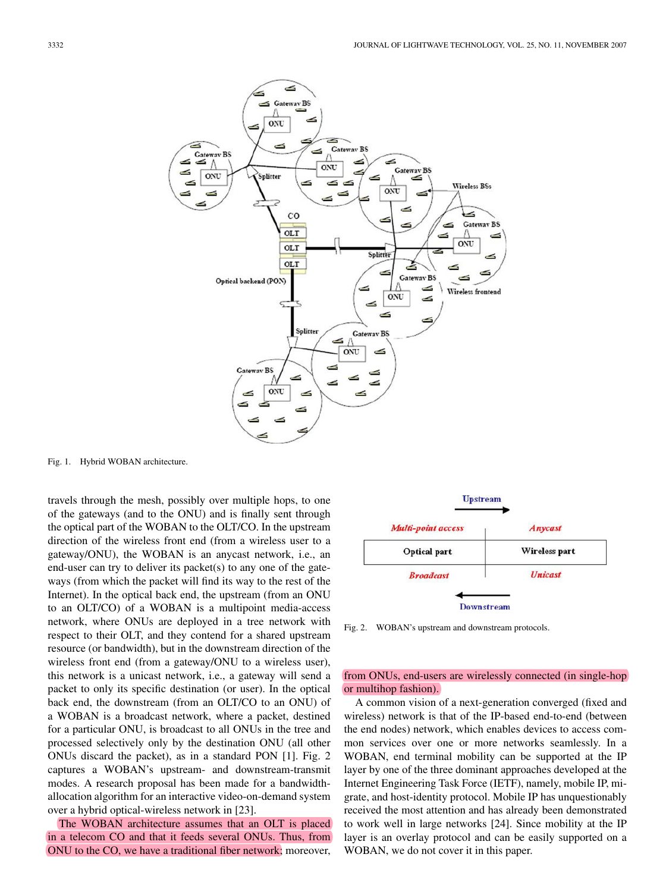

Fig. 1. Hybrid WOBAN architecture.

travels through the mesh, possibly over multiple hops, to one of the gateways (and to the ONU) and is finally sent through the optical part of the WOBAN to the OLT/CO. In the upstream direction of the wireless front end (from a wireless user to a gateway/ONU), the WOBAN is an anycast network, i.e., an end-user can try to deliver its packet(s) to any one of the gateways (from which the packet will find its way to the rest of the Internet). In the optical back end, the upstream (from an ONU to an OLT/CO) of a WOBAN is a multipoint media-access network, where ONUs are deployed in a tree network with respect to their OLT, and they contend for a shared upstream resource (or bandwidth), but in the downstream direction of the wireless front end (from a gateway/ONU to a wireless user), this network is a unicast network, i.e., a gateway will send a packet to only its specific destination (or user). In the optical back end, the downstream (from an OLT/CO to an ONU) of a WOBAN is a broadcast network, where a packet, destined for a particular ONU, is broadcast to all ONUs in the tree and processed selectively only by the destination ONU (all other ONUs discard the packet), as in a standard PON [1]. Fig. 2 captures a WOBAN's upstream- and downstream-transmit modes. A research proposal has been made for a bandwidthallocation algorithm for an interactive video-on-demand system over a hybrid optical-wireless network in [23].

The WOBAN architecture assumes that an OLT is placed in a telecom CO and that it feeds several ONUs. Thus, from ONU to the CO, we have a traditional fiber network; moreover,



Fig. 2. WOBAN's upstream and downstream protocols.

#### from ONUs, end-users are wirelessly connected (in single-hop or multihop fashion).

A common vision of a next-generation converged (fixed and wireless) network is that of the IP-based end-to-end (between the end nodes) network, which enables devices to access common services over one or more networks seamlessly. In a WOBAN, end terminal mobility can be supported at the IP layer by one of the three dominant approaches developed at the Internet Engineering Task Force (IETF), namely, mobile IP, migrate, and host-identity protocol. Mobile IP has unquestionably received the most attention and has already been demonstrated to work well in large networks [24]. Since mobility at the IP layer is an overlay protocol and can be easily supported on a WOBAN, we do not cover it in this paper.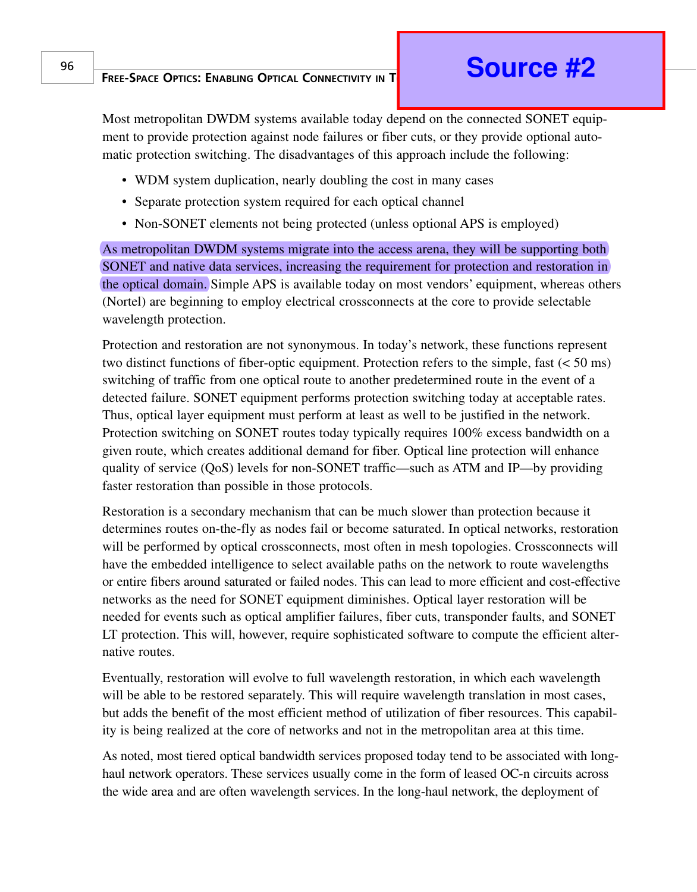#### **FREE-SPACE OPTICS: ENABLING OPTICAL CONNECTIVITY IN**

#### **TODAY'S NETWORKS Source #2**

Most metropolitan DWDM systems available today depend on the connected SONET equipment to provide protection against node failures or fiber cuts, or they provide optional automatic protection switching. The disadvantages of this approach include the following:

- WDM system duplication, nearly doubling the cost in many cases
- Separate protection system required for each optical channel
- Non-SONET elements not being protected (unless optional APS is employed)

As metropolitan DWDM systems migrate into the access arena, they will be supporting both SONET and native data services, increasing the requirement for protection and restoration in the optical domain. Simple APS is available today on most vendors' equipment, whereas others (Nortel) are beginning to employ electrical crossconnects at the core to provide selectable wavelength protection.

Protection and restoration are not synonymous. In today's network, these functions represent two distinct functions of fiber-optic equipment. Protection refers to the simple, fast (< 50 ms) switching of traffic from one optical route to another predetermined route in the event of a detected failure. SONET equipment performs protection switching today at acceptable rates. Thus, optical layer equipment must perform at least as well to be justified in the network. Protection switching on SONET routes today typically requires 100% excess bandwidth on a given route, which creates additional demand for fiber. Optical line protection will enhance quality of service (QoS) levels for non-SONET traffic—such as ATM and IP—by providing faster restoration than possible in those protocols.

Restoration is a secondary mechanism that can be much slower than protection because it determines routes on-the-fly as nodes fail or become saturated. In optical networks, restoration will be performed by optical crossconnects, most often in mesh topologies. Crossconnects will have the embedded intelligence to select available paths on the network to route wavelengths or entire fibers around saturated or failed nodes. This can lead to more efficient and cost-effective networks as the need for SONET equipment diminishes. Optical layer restoration will be needed for events such as optical amplifier failures, fiber cuts, transponder faults, and SONET LT protection. This will, however, require sophisticated software to compute the efficient alternative routes.

Eventually, restoration will evolve to full wavelength restoration, in which each wavelength will be able to be restored separately. This will require wavelength translation in most cases, but adds the benefit of the most efficient method of utilization of fiber resources. This capability is being realized at the core of networks and not in the metropolitan area at this time.

As noted, most tiered optical bandwidth services proposed today tend to be associated with longhaul network operators. These services usually come in the form of leased OC-n circuits across the wide area and are often wavelength services. In the long-haul network, the deployment of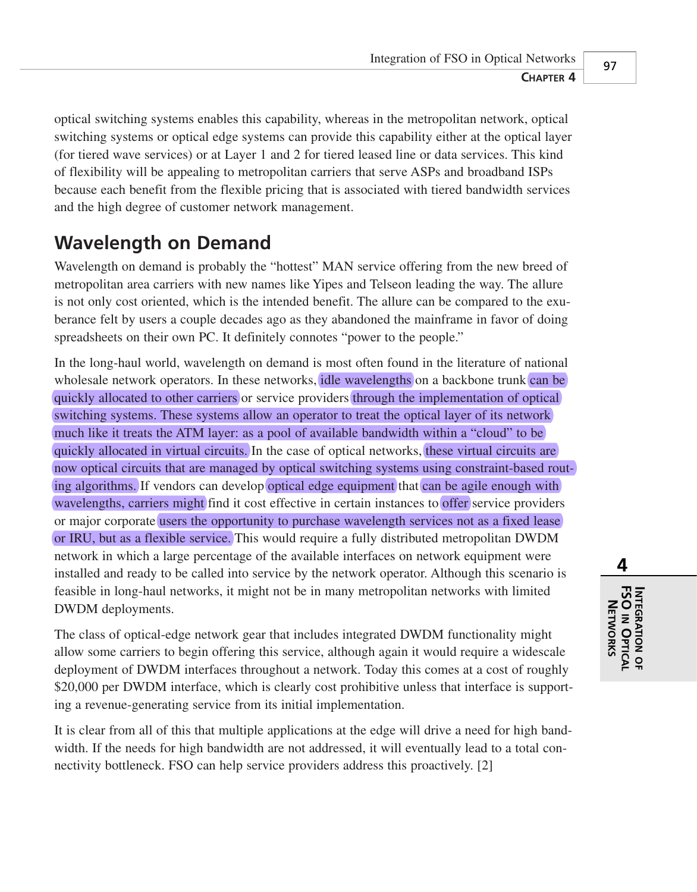optical switching systems enables this capability, whereas in the metropolitan network, optical switching systems or optical edge systems can provide this capability either at the optical layer (for tiered wave services) or at Layer 1 and 2 for tiered leased line or data services. This kind of flexibility will be appealing to metropolitan carriers that serve ASPs and broadband ISPs because each benefit from the flexible pricing that is associated with tiered bandwidth services and the high degree of customer network management.

#### **Wavelength on Demand**

Wavelength on demand is probably the "hottest" MAN service offering from the new breed of metropolitan area carriers with new names like Yipes and Telseon leading the way. The allure is not only cost oriented, which is the intended benefit. The allure can be compared to the exuberance felt by users a couple decades ago as they abandoned the mainframe in favor of doing spreadsheets on their own PC. It definitely connotes "power to the people."

In the long-haul world, wavelength on demand is most often found in the literature of national wholesale network operators. In these networks, idle wavelengths on a backbone trunk can be quickly allocated to other carriers or service providers through the implementation of optical switching systems. These systems allow an operator to treat the optical layer of its network much like it treats the ATM layer: as a pool of available bandwidth within a "cloud" to be quickly allocated in virtual circuits. In the case of optical networks, these virtual circuits are now optical circuits that are managed by optical switching systems using constraint-based routing algorithms. If vendors can develop optical edge equipment that can be agile enough with wavelengths, carriers might find it cost effective in certain instances to offer service providers or major corporate users the opportunity to purchase wavelength services not as a fixed lease or IRU, but as a flexible service. This would require a fully distributed metropolitan DWDM network in which a large percentage of the available interfaces on network equipment were installed and ready to be called into service by the network operator. Although this scenario is feasible in long-haul networks, it might not be in many metropolitan networks with limited DWDM deployments.

The class of optical-edge network gear that includes integrated DWDM functionality might allow some carriers to begin offering this service, although again it would require a widescale deployment of DWDM interfaces throughout a network. Today this comes at a cost of roughly \$20,000 per DWDM interface, which is clearly cost prohibitive unless that interface is supporting a revenue-generating service from its initial implementation.

It is clear from all of this that multiple applications at the edge will drive a need for high bandwidth. If the needs for high bandwidth are not addressed, it will eventually lead to a total connectivity bottleneck. FSO can help service providers address this proactively. [2]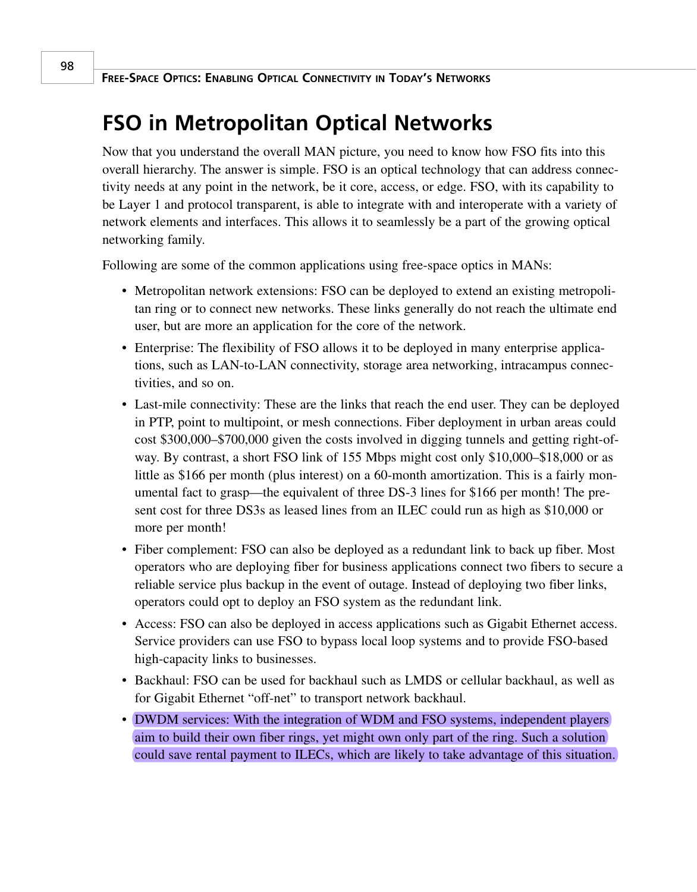#### **FSO in Metropolitan Optical Networks**

Now that you understand the overall MAN picture, you need to know how FSO fits into this overall hierarchy. The answer is simple. FSO is an optical technology that can address connectivity needs at any point in the network, be it core, access, or edge. FSO, with its capability to be Layer 1 and protocol transparent, is able to integrate with and interoperate with a variety of network elements and interfaces. This allows it to seamlessly be a part of the growing optical networking family.

Following are some of the common applications using free-space optics in MANs:

- Metropolitan network extensions: FSO can be deployed to extend an existing metropolitan ring or to connect new networks. These links generally do not reach the ultimate end user, but are more an application for the core of the network.
- Enterprise: The flexibility of FSO allows it to be deployed in many enterprise applications, such as LAN-to-LAN connectivity, storage area networking, intracampus connectivities, and so on.
- Last-mile connectivity: These are the links that reach the end user. They can be deployed in PTP, point to multipoint, or mesh connections. Fiber deployment in urban areas could cost \$300,000–\$700,000 given the costs involved in digging tunnels and getting right-ofway. By contrast, a short FSO link of 155 Mbps might cost only \$10,000–\$18,000 or as little as \$166 per month (plus interest) on a 60-month amortization. This is a fairly monumental fact to grasp—the equivalent of three DS-3 lines for \$166 per month! The present cost for three DS3s as leased lines from an ILEC could run as high as \$10,000 or more per month!
- Fiber complement: FSO can also be deployed as a redundant link to back up fiber. Most operators who are deploying fiber for business applications connect two fibers to secure a reliable service plus backup in the event of outage. Instead of deploying two fiber links, operators could opt to deploy an FSO system as the redundant link.
- Access: FSO can also be deployed in access applications such as Gigabit Ethernet access. Service providers can use FSO to bypass local loop systems and to provide FSO-based high-capacity links to businesses.
- Backhaul: FSO can be used for backhaul such as LMDS or cellular backhaul, as well as for Gigabit Ethernet "off-net" to transport network backhaul.
- DWDM services: With the integration of WDM and FSO systems, independent players aim to build their own fiber rings, yet might own only part of the ring. Such a solution could save rental payment to ILECs, which are likely to take advantage of this situation.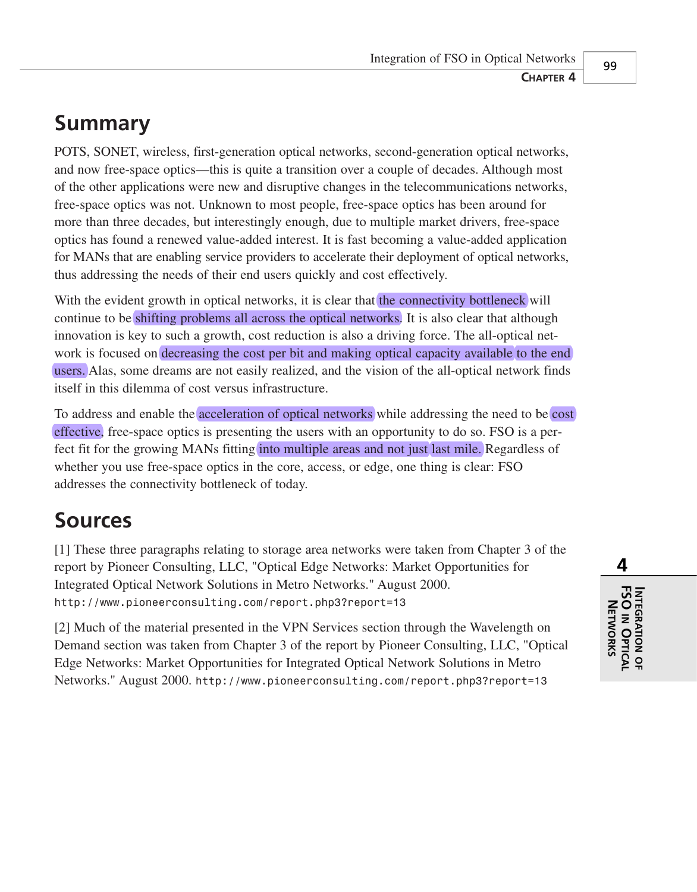## **Summary**

POTS, SONET, wireless, first-generation optical networks, second-generation optical networks, and now free-space optics—this is quite a transition over a couple of decades. Although most of the other applications were new and disruptive changes in the telecommunications networks, free-space optics was not. Unknown to most people, free-space optics has been around for more than three decades, but interestingly enough, due to multiple market drivers, free-space optics has found a renewed value-added interest. It is fast becoming a value-added application for MANs that are enabling service providers to accelerate their deployment of optical networks, thus addressing the needs of their end users quickly and cost effectively.

With the evident growth in optical networks, it is clear that the connectivity bottleneck will continue to be shifting problems all across the optical networks. It is also clear that although innovation is key to such a growth, cost reduction is also a driving force. The all-optical network is focused on decreasing the cost per bit and making optical capacity available to the end users. Alas, some dreams are not easily realized, and the vision of the all-optical network finds itself in this dilemma of cost versus infrastructure.

To address and enable the acceleration of optical networks while addressing the need to be cost effective, free-space optics is presenting the users with an opportunity to do so. FSO is a perfect fit for the growing MANs fitting into multiple areas and not just last mile. Regardless of whether you use free-space optics in the core, access, or edge, one thing is clear: FSO addresses the connectivity bottleneck of today.

# **Sources**

[1] These three paragraphs relating to storage area networks were taken from Chapter 3 of the report by Pioneer Consulting, LLC, "Optical Edge Networks: Market Opportunities for Integrated Optical Network Solutions in Metro Networks." August 2000. *http://www.pioneerconsulting.com/report.php3?report=13*

[2] Much of the material presented in the VPN Services section through the Wavelength on Demand section was taken from Chapter 3 of the report by Pioneer Consulting, LLC, "Optical Edge Networks: Market Opportunities for Integrated Optical Network Solutions in Metro Networks." August 2000. *http://www.pioneerconsulting.com/report.php3?report=13*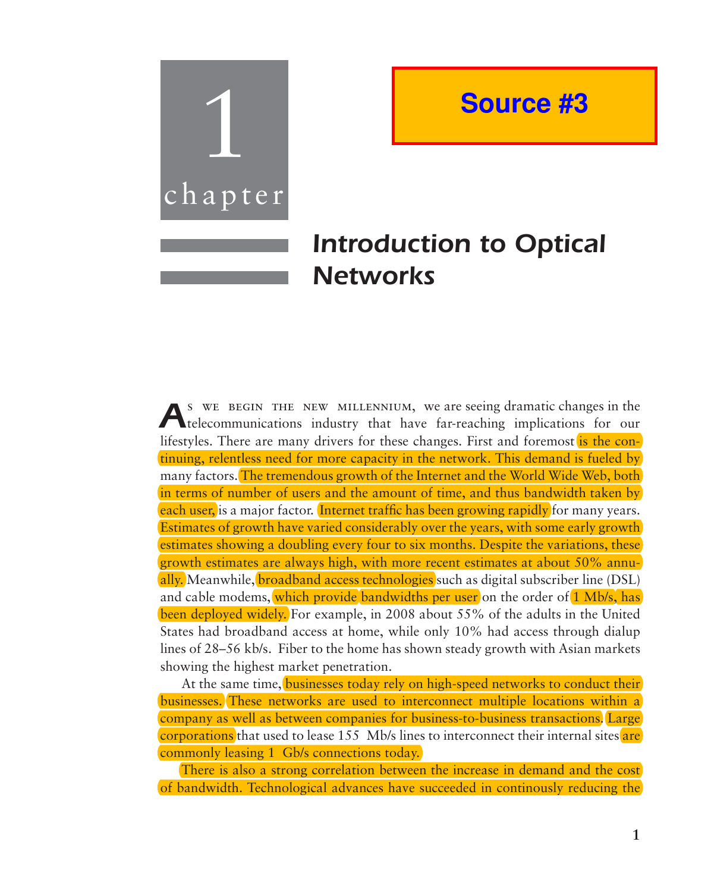



# Introduction to Optical **Networks**

A<sup>S WE BEGIN THE NEW MILLENNIUM, we are seeing dramatic changes in the telecommunications industry that have far-reaching implications for our</sup> s we begin the new millennium, we are seeing dramatic changes in the lifestyles. There are many drivers for these changes. First and foremost is the continuing, relentless need for more capacity in the network. This demand is fueled by many factors. The tremendous growth of the Internet and the World Wide Web, both in terms of number of users and the amount of time, and thus bandwidth taken by each user, is a major factor. Internet traffic has been growing rapidly for many years. Estimates of growth have varied considerably over the years, with some early growth estimates showing a doubling every four to six months. Despite the variations, these growth estimates are always high, with more recent estimates at about 50% annually. Meanwhile, broadband access technologies such as digital subscriber line (DSL) and cable modems, which provide bandwidths per user on the order of  $1 \text{ Mb/s}$ , has been deployed widely. For example, in 2008 about 55% of the adults in the United States had broadband access at home, while only 10% had access through dialup lines of 28–56 kb/s. Fiber to the home has shown steady growth with Asian markets showing the highest market penetration.

At the same time, businesses today rely on high-speed networks to conduct their businesses. These networks are used to interconnect multiple locations within a company as well as between companies for business-to-business transactions. Large corporations that used to lease 155 Mb/s lines to interconnect their internal sites are commonly leasing 1 Gb/s connections today.

There is also a strong correlation between the increase in demand and the cost of bandwidth. Technological advances have succeeded in continously reducing the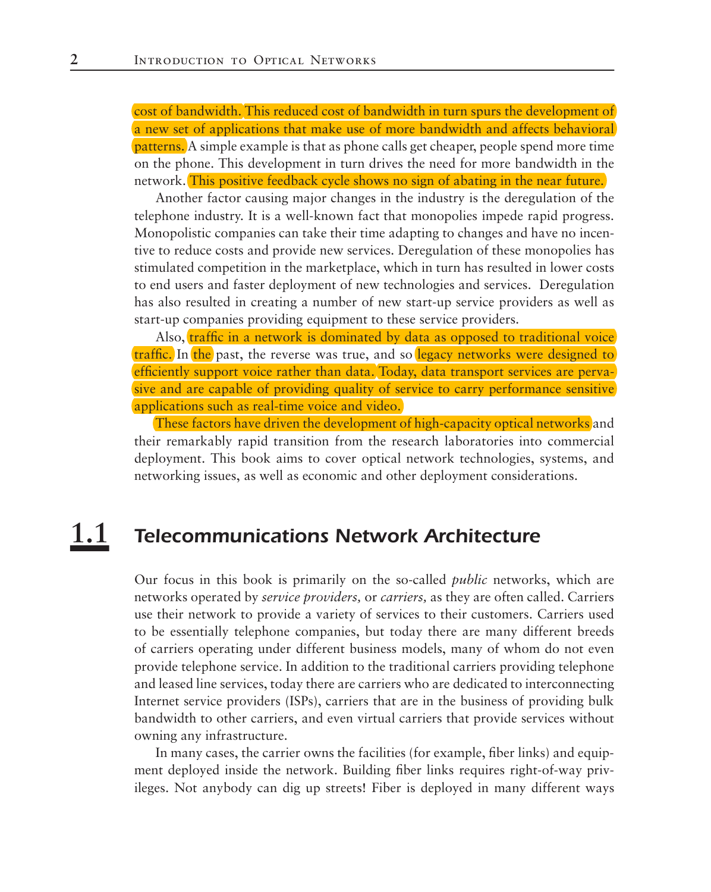cost of bandwidth. This reduced cost of bandwidth in turn spurs the development of a new set of applications that make use of more bandwidth and affects behavioral patterns. A simple example is that as phone calls get cheaper, people spend more time on the phone. This development in turn drives the need for more bandwidth in the network. This positive feedback cycle shows no sign of abating in the near future.

Another factor causing major changes in the industry is the deregulation of the telephone industry. It is a well-known fact that monopolies impede rapid progress. Monopolistic companies can take their time adapting to changes and have no incentive to reduce costs and provide new services. Deregulation of these monopolies has stimulated competition in the marketplace, which in turn has resulted in lower costs to end users and faster deployment of new technologies and services. Deregulation has also resulted in creating a number of new start-up service providers as well as start-up companies providing equipment to these service providers.

Also, traffic in a network is dominated by data as opposed to traditional voice traffic. In the past, the reverse was true, and so legacy networks were designed to efficiently support voice rather than data. Today, data transport services are pervasive and are capable of providing quality of service to carry performance sensitive applications such as real-time voice and video.

These factors have driven the development of high-capacity optical networks and their remarkably rapid transition from the research laboratories into commercial deployment. This book aims to cover optical network technologies, systems, and networking issues, as well as economic and other deployment considerations.

#### **1.1** Telecommunications Network Architecture

Our focus in this book is primarily on the so-called *public* networks, which are networks operated by *service providers,* or *carriers,* as they are often called. Carriers use their network to provide a variety of services to their customers. Carriers used to be essentially telephone companies, but today there are many different breeds of carriers operating under different business models, many of whom do not even provide telephone service. In addition to the traditional carriers providing telephone and leased line services, today there are carriers who are dedicated to interconnecting Internet service providers (ISPs), carriers that are in the business of providing bulk bandwidth to other carriers, and even virtual carriers that provide services without owning any infrastructure.

In many cases, the carrier owns the facilities (for example, fiber links) and equipment deployed inside the network. Building fiber links requires right-of-way privileges. Not anybody can dig up streets! Fiber is deployed in many different ways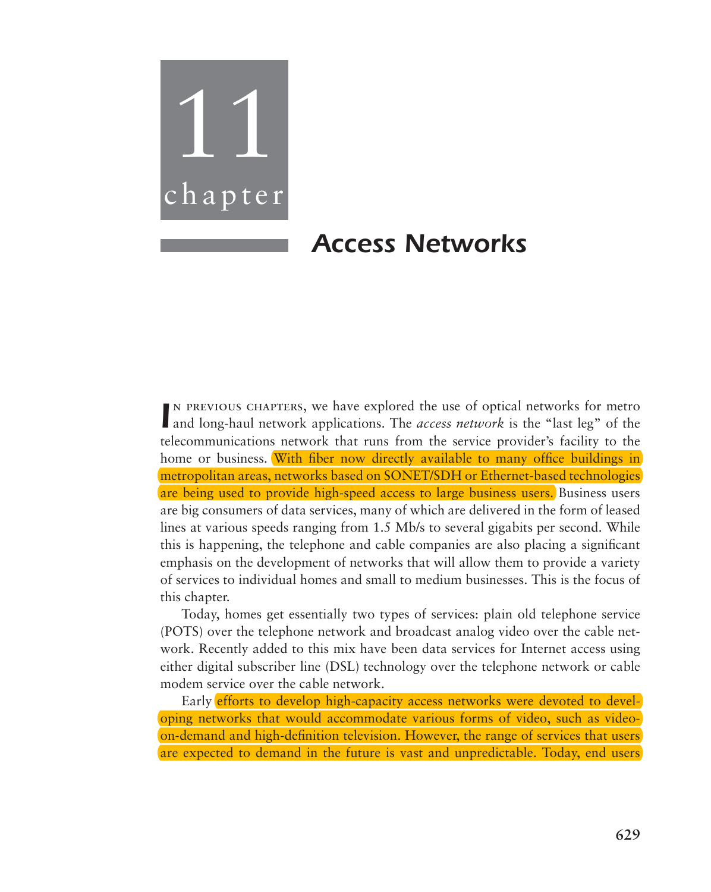

## Access Networks

IN PREVIOUS CHAPTERS, we have explored the use of optical networks for metro and long-haul network applications. The *access network* is the "last leg" of the n previous chapters, we have explored the use of optical networks for metro telecommunications network that runs from the service provider's facility to the home or business. With fiber now directly available to many office buildings in metropolitan areas, networks based on SONET/SDH or Ethernet-based technologies are being used to provide high-speed access to large business users. Business users are big consumers of data services, many of which are delivered in the form of leased lines at various speeds ranging from 1.5 Mb/s to several gigabits per second. While this is happening, the telephone and cable companies are also placing a significant emphasis on the development of networks that will allow them to provide a variety of services to individual homes and small to medium businesses. This is the focus of this chapter.

Today, homes get essentially two types of services: plain old telephone service (POTS) over the telephone network and broadcast analog video over the cable network. Recently added to this mix have been data services for Internet access using either digital subscriber line (DSL) technology over the telephone network or cable modem service over the cable network.

Early efforts to develop high-capacity access networks were devoted to developing networks that would accommodate various forms of video, such as videoon-demand and high-definition television. However, the range of services that users are expected to demand in the future is vast and unpredictable. Today, end users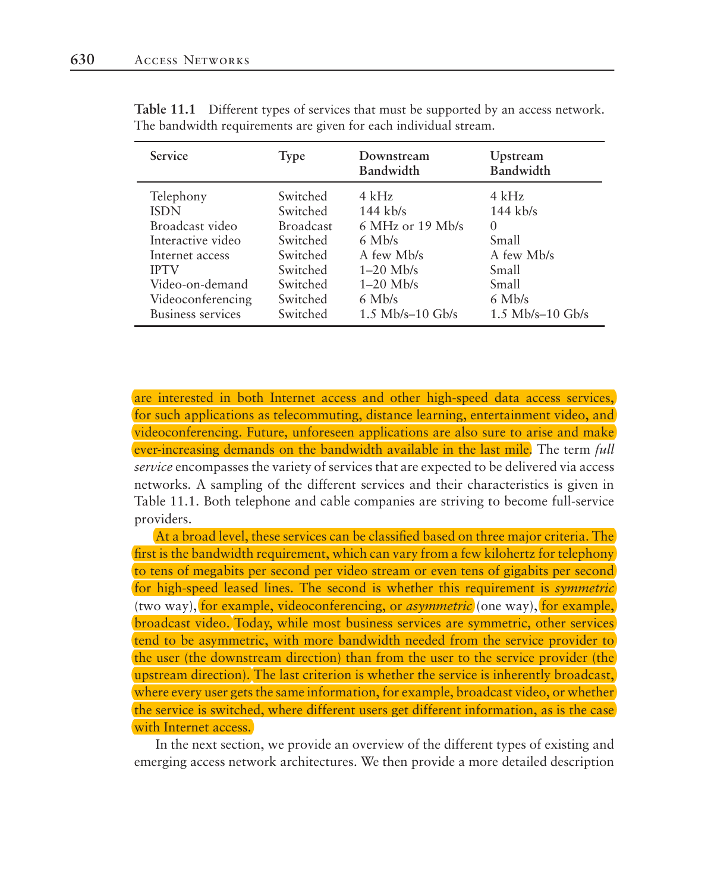| Service                  | <b>Type</b>      | Downstream<br>Bandwidth | Upstream<br>Bandwidth |
|--------------------------|------------------|-------------------------|-----------------------|
| Telephony                | Switched         | $4 \mathrm{kHz}$        | $4 \mathrm{kHz}$      |
| <b>ISDN</b>              | Switched         | $144$ kb/s              | $144$ kb/s            |
| Broadcast video          | <b>Broadcast</b> | $6$ MHz or 19 Mb/s      | $\left( \right)$      |
| Interactive video        | Switched         | $6$ Mb/s                | Small                 |
| Internet access          | Switched         | A few Mb/s              | A few Mb/s            |
| <b>IPTV</b>              | Switched         | $1-20$ Mb/s             | Small                 |
| Video-on-demand          | Switched         | $1-20$ Mb/s             | Small                 |
| Videoconferencing        | Switched         | $6$ Mb/s                | $6$ Mb/s              |
| <b>Business services</b> | Switched         | $1.5$ Mb/s-10 Gb/s      | $1.5$ Mb/s-10 Gb/s    |

**Table 11.1** Different types of services that must be supported by an access network. The bandwidth requirements are given for each individual stream.

are interested in both Internet access and other high-speed data access services, for such applications as telecommuting, distance learning, entertainment video, and videoconferencing. Future, unforeseen applications are also sure to arise and make ever-increasing demands on the bandwidth available in the last mile. The term *full service* encompasses the variety of services that are expected to be delivered via access networks. A sampling of the different services and their characteristics is given in Table 11.1. Both telephone and cable companies are striving to become full-service providers.

At a broad level, these services can be classified based on three major criteria. The first is the bandwidth requirement, which can vary from a few kilohertz for telephony to tens of megabits per second per video stream or even tens of gigabits per second for high-speed leased lines. The second is whether this requirement is *symmetric* (two way), for example, videoconferencing, or *asymmetric* (one way), for example, broadcast video. Today, while most business services are symmetric, other services tend to be asymmetric, with more bandwidth needed from the service provider to the user (the downstream direction) than from the user to the service provider (the upstream direction). The last criterion is whether the service is inherently broadcast, where every user gets the same information, for example, broadcast video, or whether the service is switched, where different users get different information, as is the case with Internet access.

In the next section, we provide an overview of the different types of existing and emerging access network architectures. We then provide a more detailed description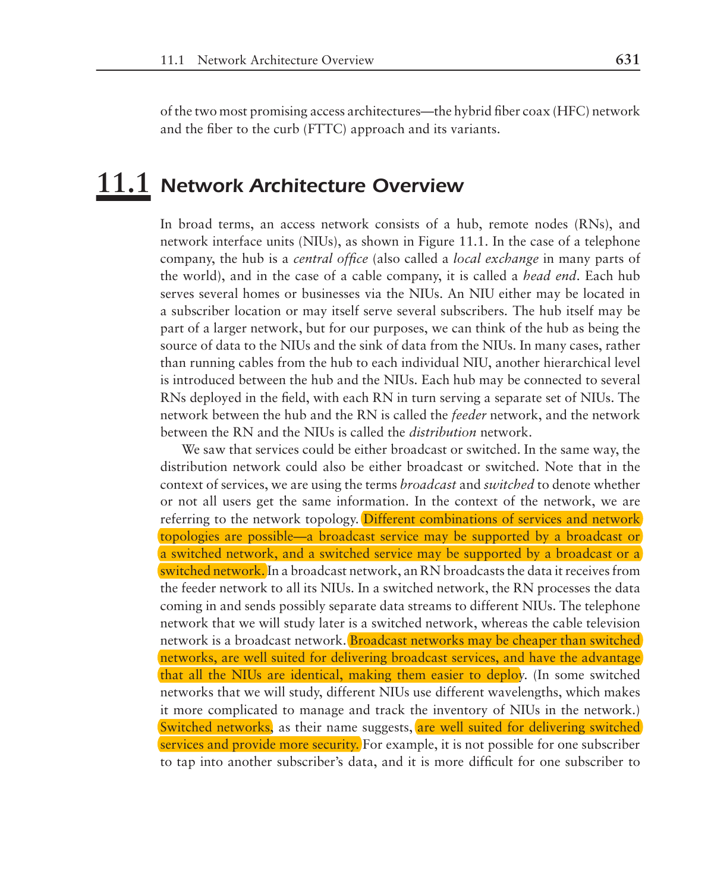of the two most promising access architectures—the hybrid fiber coax (HFC) network and the fiber to the curb (FTTC) approach and its variants.

# **11.1** Network Architecture Overview

In broad terms, an access network consists of a hub, remote nodes (RNs), and network interface units (NIUs), as shown in Figure 11.1. In the case of a telephone company, the hub is a *central office* (also called a *local exchange* in many parts of the world), and in the case of a cable company, it is called a *head end*. Each hub serves several homes or businesses via the NIUs. An NIU either may be located in a subscriber location or may itself serve several subscribers. The hub itself may be part of a larger network, but for our purposes, we can think of the hub as being the source of data to the NIUs and the sink of data from the NIUs. In many cases, rather than running cables from the hub to each individual NIU, another hierarchical level is introduced between the hub and the NIUs. Each hub may be connected to several RNs deployed in the field, with each RN in turn serving a separate set of NIUs. The network between the hub and the RN is called the *feeder* network, and the network between the RN and the NIUs is called the *distribution* network.

We saw that services could be either broadcast or switched. In the same way, the distribution network could also be either broadcast or switched. Note that in the context of services, we are using the terms *broadcast* and *switched* to denote whether or not all users get the same information. In the context of the network, we are referring to the network topology. Different combinations of services and network topologies are possible—a broadcast service may be supported by a broadcast or a switched network, and a switched service may be supported by a broadcast or a switched network. In a broadcast network, an RN broadcasts the data it receives from the feeder network to all its NIUs. In a switched network, the RN processes the data coming in and sends possibly separate data streams to different NIUs. The telephone network that we will study later is a switched network, whereas the cable television network is a broadcast network. Broadcast networks may be cheaper than switched networks, are well suited for delivering broadcast services, and have the advantage that all the NIUs are identical, making them easier to deploy. (In some switched networks that we will study, different NIUs use different wavelengths, which makes it more complicated to manage and track the inventory of NIUs in the network.) Switched networks, as their name suggests, are well suited for delivering switched services and provide more security. For example, it is not possible for one subscriber to tap into another subscriber's data, and it is more difficult for one subscriber to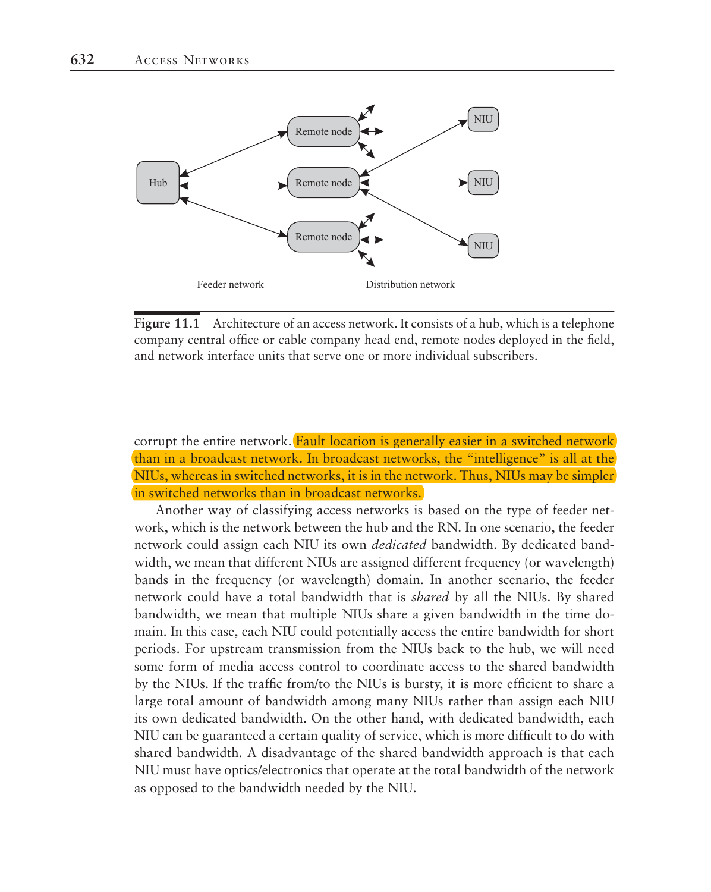

**Figure 11.1** Architecture of an access network. It consists of a hub, which is a telephone company central office or cable company head end, remote nodes deployed in the field, and network interface units that serve one or more individual subscribers.

corrupt the entire network. Fault location is generally easier in a switched network than in a broadcast network. In broadcast networks, the "intelligence" is all at the NIUs, whereas in switched networks, it is in the network. Thus, NIUs may be simpler in switched networks than in broadcast networks.

Another way of classifying access networks is based on the type of feeder network, which is the network between the hub and the RN. In one scenario, the feeder network could assign each NIU its own *dedicated* bandwidth. By dedicated bandwidth, we mean that different NIUs are assigned different frequency (or wavelength) bands in the frequency (or wavelength) domain. In another scenario, the feeder network could have a total bandwidth that is *shared* by all the NIUs. By shared bandwidth, we mean that multiple NIUs share a given bandwidth in the time domain. In this case, each NIU could potentially access the entire bandwidth for short periods. For upstream transmission from the NIUs back to the hub, we will need some form of media access control to coordinate access to the shared bandwidth by the NIUs. If the traffic from/to the NIUs is bursty, it is more efficient to share a large total amount of bandwidth among many NIUs rather than assign each NIU its own dedicated bandwidth. On the other hand, with dedicated bandwidth, each NIU can be guaranteed a certain quality of service, which is more difficult to do with shared bandwidth. A disadvantage of the shared bandwidth approach is that each NIU must have optics/electronics that operate at the total bandwidth of the network as opposed to the bandwidth needed by the NIU.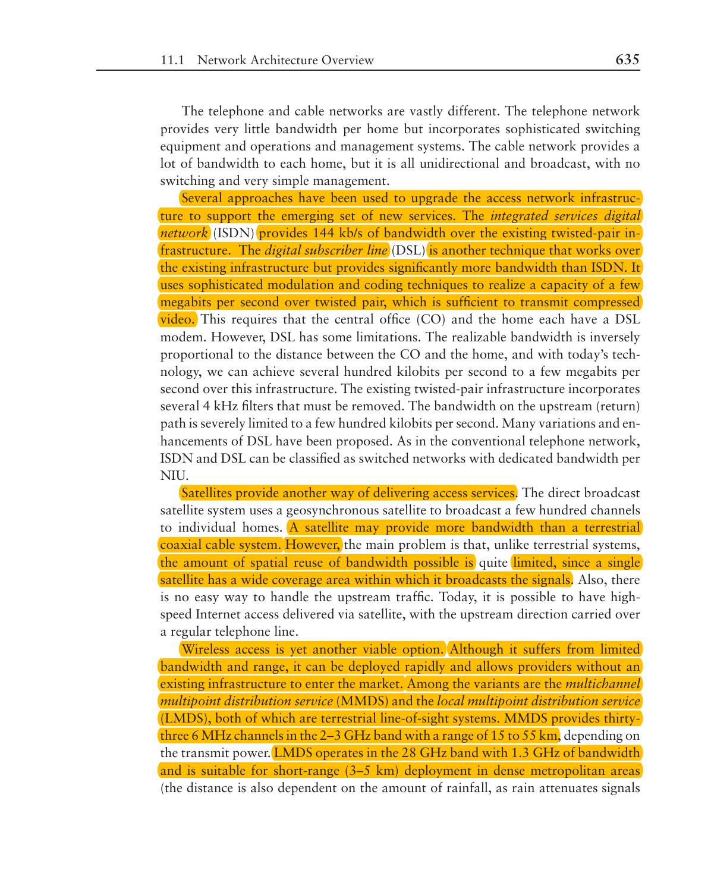The telephone and cable networks are vastly different. The telephone network provides very little bandwidth per home but incorporates sophisticated switching equipment and operations and management systems. The cable network provides a lot of bandwidth to each home, but it is all unidirectional and broadcast, with no switching and very simple management.

Several approaches have been used to upgrade the access network infrastructure to support the emerging set of new services. The *integrated services digital network* (ISDN) provides 144 kb/s of bandwidth over the existing twisted-pair infrastructure. The *digital subscriber line* (DSL) is another technique that works over the existing infrastructure but provides significantly more bandwidth than ISDN. It uses sophisticated modulation and coding techniques to realize a capacity of a few megabits per second over twisted pair, which is sufficient to transmit compressed video. This requires that the central office (CO) and the home each have a DSL modem. However, DSL has some limitations. The realizable bandwidth is inversely proportional to the distance between the CO and the home, and with today's technology, we can achieve several hundred kilobits per second to a few megabits per second over this infrastructure. The existing twisted-pair infrastructure incorporates several 4 kHz filters that must be removed. The bandwidth on the upstream (return) path is severely limited to a few hundred kilobits per second. Many variations and enhancements of DSL have been proposed. As in the conventional telephone network, ISDN and DSL can be classified as switched networks with dedicated bandwidth per NIU.

Satellites provide another way of delivering access services. The direct broadcast satellite system uses a geosynchronous satellite to broadcast a few hundred channels to individual homes. A satellite may provide more bandwidth than a terrestrial coaxial cable system. However, the main problem is that, unlike terrestrial systems, the amount of spatial reuse of bandwidth possible is quite limited, since a single satellite has a wide coverage area within which it broadcasts the signals. Also, there is no easy way to handle the upstream traffic. Today, it is possible to have highspeed Internet access delivered via satellite, with the upstream direction carried over a regular telephone line.

Wireless access is yet another viable option. Although it suffers from limited bandwidth and range, it can be deployed rapidly and allows providers without an existing infrastructure to enter the market. Among the variants are the *multichannel multipoint distribution service* (MMDS) and the *local multipoint distribution service* (LMDS), both of which are terrestrial line-of-sight systems. MMDS provides thirtythree 6 MHz channels in the 2–3 GHz band with a range of 15 to 55 km, depending on the transmit power. LMDS operates in the 28 GHz band with 1.3 GHz of bandwidth and is suitable for short-range (3–5 km) deployment in dense metropolitan areas (the distance is also dependent on the amount of rainfall, as rain attenuates signals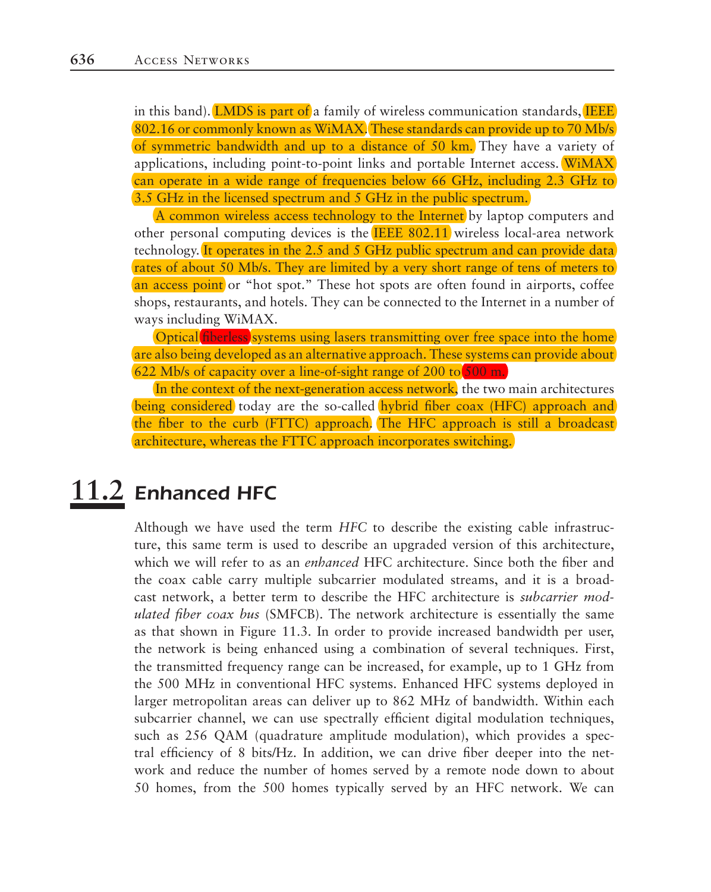in this band). LMDS is part of a family of wireless communication standards, **IEEE** 802.16 or commonly known as WiMAX. These standards can provide up to 70 Mb/s of symmetric bandwidth and up to a distance of 50 km. They have a variety of applications, including point-to-point links and portable Internet access. WiMAX can operate in a wide range of frequencies below 66 GHz, including 2.3 GHz to 3.5 GHz in the licensed spectrum and 5 GHz in the public spectrum.

A common wireless access technology to the Internet by laptop computers and other personal computing devices is the IEEE 802.11 wireless local-area network technology. It operates in the 2.5 and 5 GHz public spectrum and can provide data rates of about 50 Mb/s. They are limited by a very short range of tens of meters to an access point or "hot spot." These hot spots are often found in airports, coffee shops, restaurants, and hotels. They can be connected to the Internet in a number of ways including WiMAX.

Optical fiberless systems using lasers transmitting over free space into the home are also being developed as an alternative approach. These systems can provide about 622 Mb/s of capacity over a line-of-sight range of  $200 \text{ to } 500 \text{ m}$ .

In the context of the next-generation access network, the two main architectures being considered today are the so-called hybrid fiber coax (HFC) approach and the fiber to the curb (FTTC) approach. The HFC approach is still a broadcast architecture, whereas the FTTC approach incorporates switching.

# **11.2** Enhanced HFC

Although we have used the term *HFC* to describe the existing cable infrastructure, this same term is used to describe an upgraded version of this architecture, which we will refer to as an *enhanced* HFC architecture. Since both the fiber and the coax cable carry multiple subcarrier modulated streams, and it is a broadcast network, a better term to describe the HFC architecture is *subcarrier modulated fiber coax bus* (SMFCB). The network architecture is essentially the same as that shown in Figure 11.3. In order to provide increased bandwidth per user, the network is being enhanced using a combination of several techniques. First, the transmitted frequency range can be increased, for example, up to 1 GHz from the 500 MHz in conventional HFC systems. Enhanced HFC systems deployed in larger metropolitan areas can deliver up to 862 MHz of bandwidth. Within each subcarrier channel, we can use spectrally efficient digital modulation techniques, such as 256 QAM (quadrature amplitude modulation), which provides a spectral efficiency of 8 bits/Hz. In addition, we can drive fiber deeper into the network and reduce the number of homes served by a remote node down to about 50 homes, from the 500 homes typically served by an HFC network. We can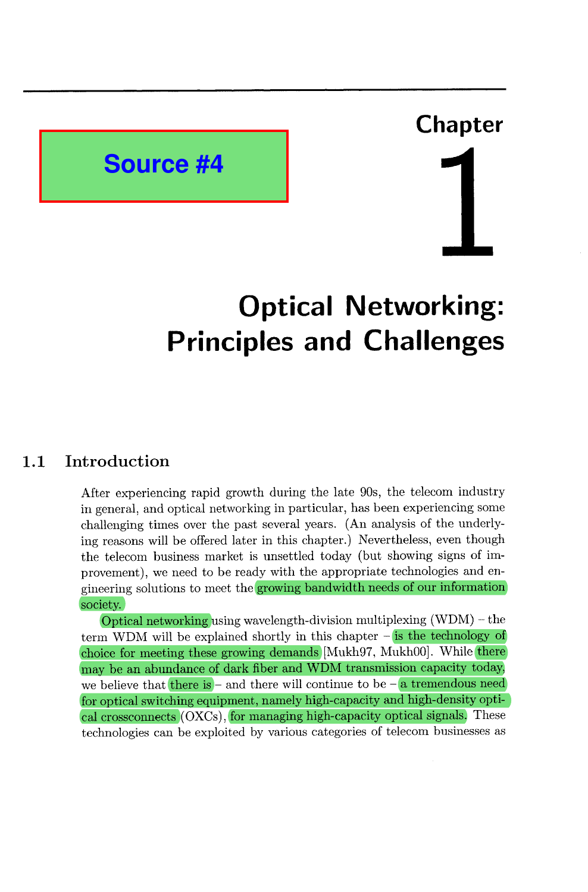# **Source #4**

# **Chapter**

# **Optical Networking: Principles and Challenges**

#### **1.1 Introduction**

After experiencing rapid growth during the late 9Os, the telecom industry in general, and optical networking in particular, has been experiencing some challenging times over the past several years. (An analysis of the underlying reasons will be offered later in this chapter.) Nevertheless, even though the telecom business market is unsettled today (but showing signs of improvement), we need to be ready with the appropriate technologies and engineering solutions to meet the growing bandwidth needs of our information society.

Optical networking using wavelength-division multiplexing (WDM) - the term WDM will be explained shortly in this chapter  $-$  is the technology of choice for meeting these growing demands [Mukh97, Mukh00]. While there may be an abundance of dark fiber and WDM transmission capacity today, we believe that there is - and there will continue to be  $-a$  tremendous need for optical switching equipment, namely high-capacity and high-density optical crossconnects (OXCs), for managing high-capacity optical signals. These technologies can be exploited by various categories of telecom businesses as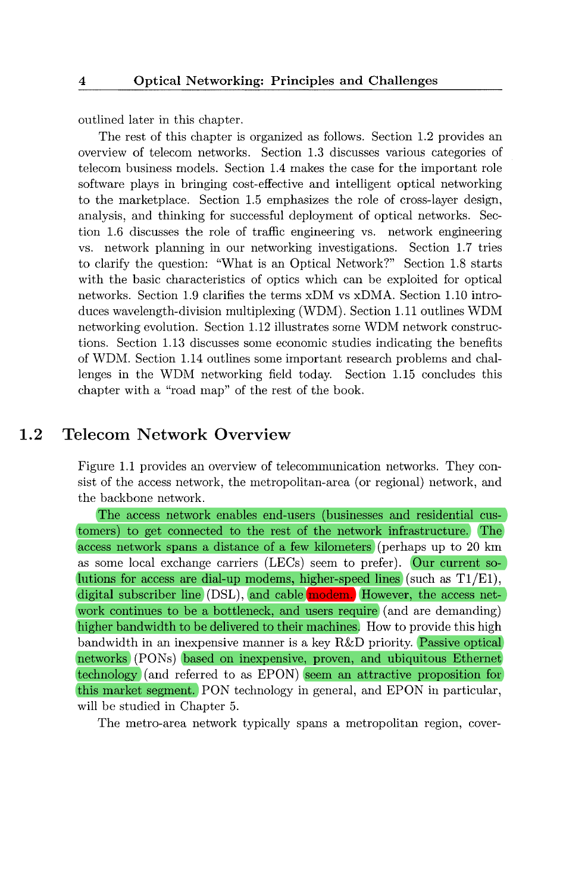outlined later in this chapter.

The rest of this chapter is organized as follows. Section 1.2 provides an overview of telecom networks. Section 1.3 discusses various categories of telecom business models. Section 1.4 makes the case for the important role software plays in bringing cost-effective and intelligent optical networking to the marketplace. Section 1.5 emphasizes the role of cross-layer design, analysis, and thinking for successful deployment of optical networks. Section 1.6 discusses the role of traffic engineering vs. network engineering vs. network planning in our networking investigations. Section 1.7 tries to clarify the question: "What is an Optical Network?" Section 1.8 starts with the basic characteristics of optics which can be exploited for optical networks. Section 1.9 clarifies the terms xDM vs xDMA. Section 1.10 introduces wavelength-division multiplexing (WDM) . Section 1.11 outlines WDM networking evolution. Section 1.12 illustrates some WDM network constructions. Section 1.13 discusses some economic studies indicating the benefits of WDM. Section 1.14 outlines some important research problems and challenges in the WDM networking field today. Section 1.15 concludes this chapter with a "road map" of the rest of the book.

#### $1.2$ **Telecom Network Overview**

Figure 1.1 provides an overview of telecommunication networks. They consist of the access network, the metropolitan-area (or regional) network, and the backbone network.

The access network enables end-users (businesses and residential customers) to get connected to the rest of the network infrastructure. The access network spans a distance of a few kilometers (perhaps up to  $20 \; \text{km}$ ) as some local exchange carriers (LECs) seem to prefer). Our current solutions for access are dial-up modems, higher-speed lines (such as  $T1/E1$ ), digital subscriber line (DSL), and cable modem. However, the access network continues to be a bottleneck, and users require (and are demanding) higher bandwidth to be delivered to their machines. How to provide this high bandwidth in an inexpensive manner is a key R&D priority. Passive optical networks (PONS) based on inexpensive, proven, and ubiquitous Ethernet technology (and referred to as EPON) seem an attractive proposition for this market segment. PON technology in general, and EPON in particular, will be studied in Chapter 5.

The metro-area network typically spans a metropolitan region, cover-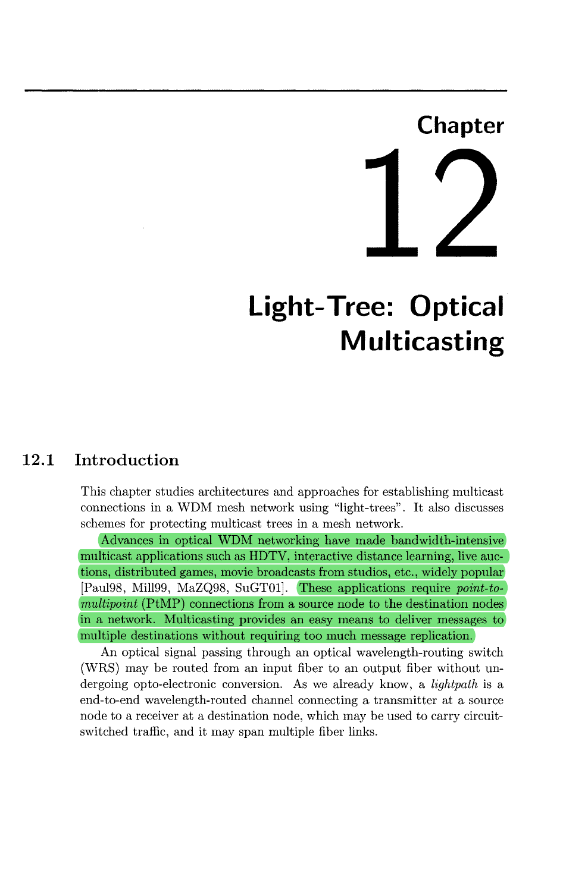# **Chapter**

# **Light-Tree: Optical Multicasting**

#### $12.1$ **Introduction**

This chapter studies architectures and approaches for establishing multicast connections in a WDM mesh network using "light-trees". It also discusses schemes for protecting multicast trees in a mesh network.

Advances in optical WDM networking have made bandwidth-intensive multicast applications such as HDTV, interactive distance learning, live auctions, distributed games, movie broadcasts from studios, etc., widely popular [Pau198, Mi1199, MaZQ98, SuGTOl]. These applications require *point-tomultipoint* (PtMP) connections from a source node to the destination nodes in a network. Multicasting provides an easy means to deliver messages to multiple destinations without requiring too much message replication.

An optical signal passing through an optical wavelength-routing switch (WRS) may be routed from an input fiber to an output fiber without undergoing opto-electronic conversion. As we already know, a *lightpath* is a end-to-end wavelength-routed channel connecting a transmitter at a source node to a receiver at a destination node, which may be used to carry circuitswitched traffic, and it may span multiple fiber links.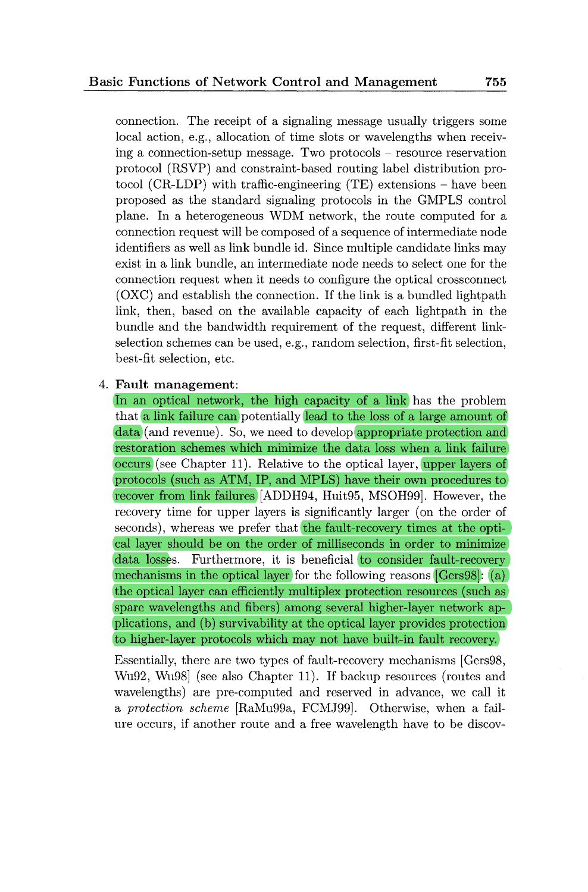connection. The receipt of a signaling message usually triggers some local action, e.g., allocation of time slots or wavelengths when receiving a connection-setup message. Two protocols - resource reservation protocol (RSVP) and constraint-based routing label distribution protocol (CR-LDP) with traffic-engineering (TE) extensions - have been proposed as the standard signaling protocols in the GMPLS control plane. In a heterogeneous WDM network, the route computed for a connection request will be composed of a sequence of intermediate node identifiers as well as link bundle id. Since multiple candidate links may exist in a link bundle, an intermediate node needs to select one for the connection request when it needs to configure the optical crossconnect (OXC) and establish the connection. If the link is a bundled lightpath link, then, based on the available capacity of each lightpath in the bundle and the bandwidth requirement of the request, different linkselection schemes can be used, e.g., random selection, first-fit selection, best-fit selection, etc.

#### **4. Fault management:**

In an optical network, the high capacity of a link has the problem that a link failure can potentially lead to the loss of a large amount of data (and revenue). So, we need to develop appropriate protection and restoration schemes which minimize the data loss when a link failure occurs (see Chapter 11). Relative to the optical layer, upper layers of protocols (such as ATM, IP, and MPLS) have their own procedures to recover from link failures [ADDH94, Huit95, MSOH99]. However, the recovery time for upper layers is significantly larger (on the order of seconds), whereas we prefer that the fault-recovery times at the optical layer should be on the order of milliseconds in order to minimize data losses. Furthermore, it is beneficial to consider fault-recovery mechanisms in the optical layer for the following reasons [Gers98]: (a) the optical layer can efficiently multiplex protection resources (such as spare wavelengths and fibers) among several higher-layer network applications, and (b) survivability at the optical layer provides protection to higher-layer protocols which may not have built-in fault recovery.

Essentially, there are two types of fault-recovery mechanisms [Gers98, Wu92, Wu98 (see also Chapter 11). If backup resources (routes and wavelengths) are pre-computed and reserved in advance, we call it a protection scheme [RaMugga, FCMJ991. Otherwise, when a failure occurs, if another route and a free wavelength have to be discov-